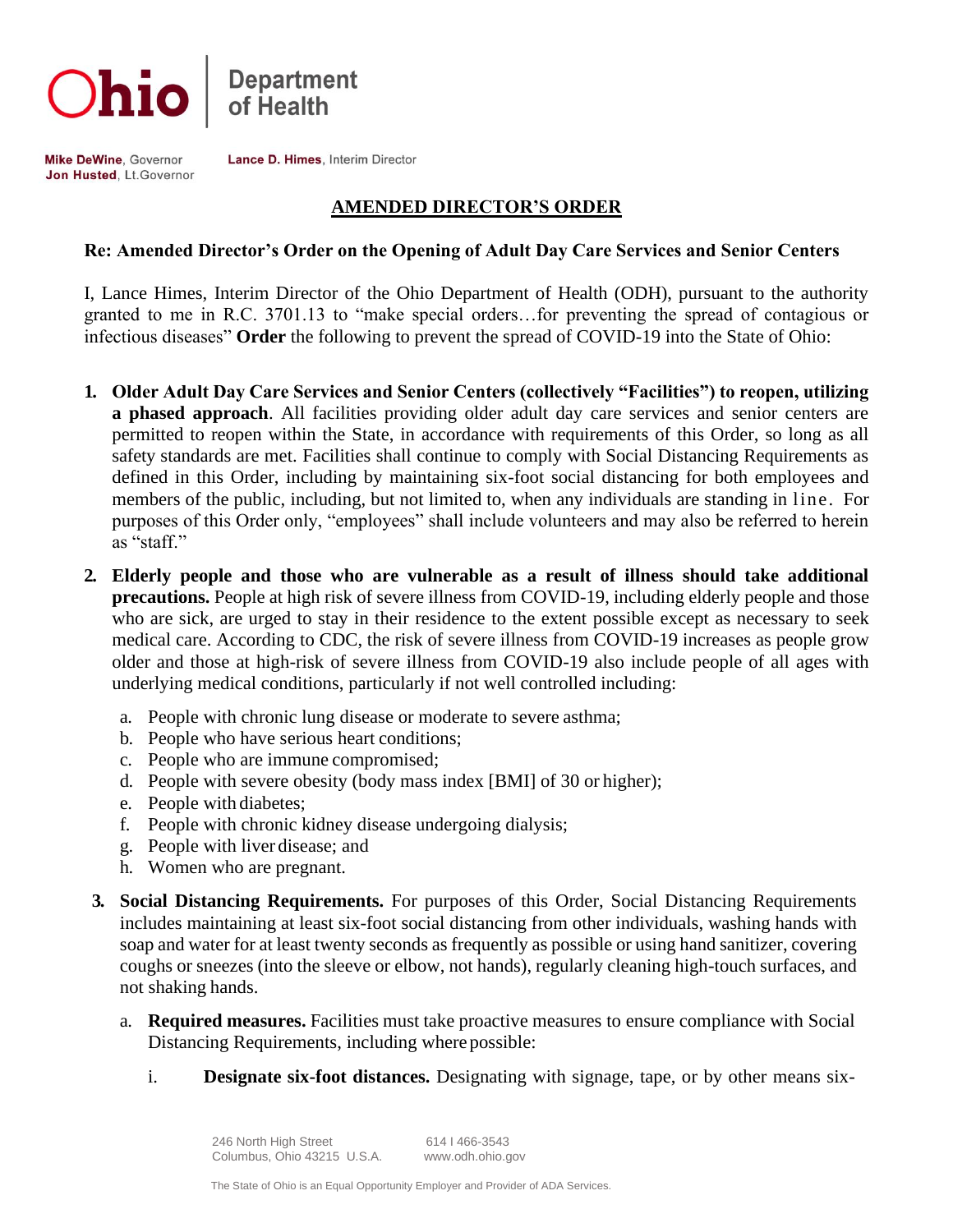



Mike DeWine, Governor Jon Husted, Lt. Governor Lance D. Himes, Interim Director

### **AMENDED DIRECTOR'S ORDER**

#### **Re: Amended Director's Order on the Opening of Adult Day Care Services and Senior Centers**

I, Lance Himes, Interim Director of the Ohio Department of Health (ODH), pursuant to the authority granted to me in R.C. 3701.13 to "make special orders…for preventing the spread of contagious or infectious diseases" **Order** the following to prevent the spread of COVID-19 into the State of Ohio:

- **1. Older Adult Day Care Services and Senior Centers (collectively "Facilities") to reopen, utilizing a phased approach**. All facilities providing older adult day care services and senior centers are permitted to reopen within the State, in accordance with requirements of this Order, so long as all safety standards are met. Facilities shall continue to comply with Social Distancing Requirements as defined in this Order, including by maintaining six-foot social distancing for both employees and members of the public, including, but not limited to, when any individuals are standing in line. For purposes of this Order only, "employees" shall include volunteers and may also be referred to herein as "staff."
- **2. Elderly people and those who are vulnerable as a result of illness should take additional precautions.** People at high risk of severe illness from COVID-19, including elderly people and those who are sick, are urged to stay in their residence to the extent possible except as necessary to seek medical care. According to CDC, the risk of severe illness from COVID-19 increases as people grow older and those at high-risk of severe illness from COVID-19 also include people of all ages with underlying medical conditions, particularly if not well controlled including:
	- a. People with chronic lung disease or moderate to severe asthma;
	- b. People who have serious heart conditions;
	- c. People who are immune compromised;
	- d. People with severe obesity (body mass index [BMI] of 30 or higher);
	- e. People with diabetes;
	- f. People with chronic kidney disease undergoing dialysis;
	- g. People with liver disease; and
	- h. Women who are pregnant.
- **3. Social Distancing Requirements.** For purposes of this Order, Social Distancing Requirements includes maintaining at least six-foot social distancing from other individuals, washing hands with soap and water for at least twenty seconds as frequently as possible or using hand sanitizer, covering coughs or sneezes (into the sleeve or elbow, not hands), regularly cleaning high-touch surfaces, and not shaking hands.
	- a. **Required measures.** Facilities must take proactive measures to ensure compliance with Social Distancing Requirements, including where possible:
		- i. **Designate six-foot distances.** Designating with signage, tape, or by other means six-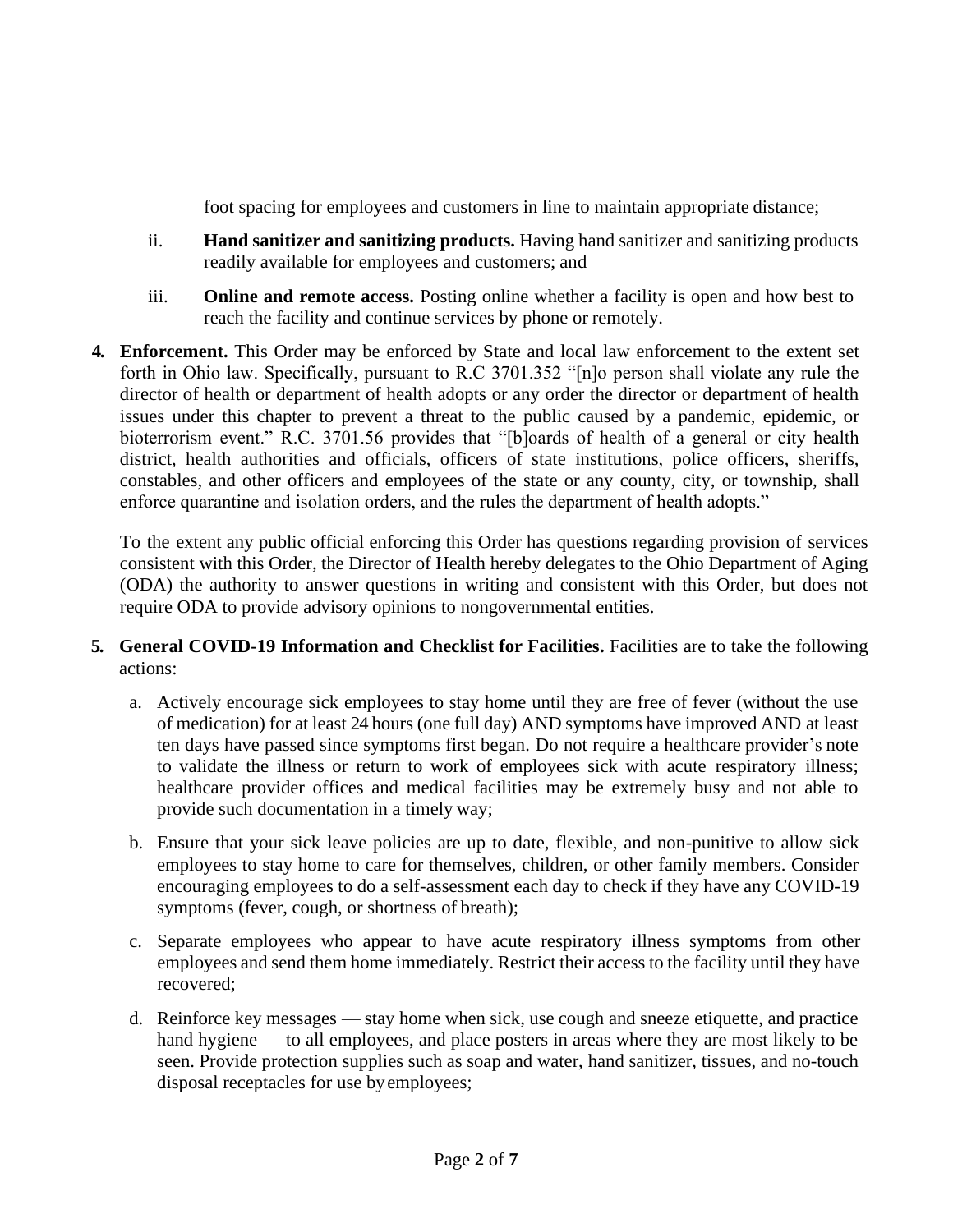foot spacing for employees and customers in line to maintain appropriate distance;

- ii. **Hand sanitizer and sanitizing products.** Having hand sanitizer and sanitizing products readily available for employees and customers; and
- iii. **Online and remote access.** Posting online whether a facility is open and how best to reach the facility and continue services by phone or remotely.
- **4. Enforcement.** This Order may be enforced by State and local law enforcement to the extent set forth in Ohio law. Specifically, pursuant to R.C 3701.352 "[n]o person shall violate any rule the director of health or department of health adopts or any order the director or department of health issues under this chapter to prevent a threat to the public caused by a pandemic, epidemic, or bioterrorism event." R.C. 3701.56 provides that "[b]oards of health of a general or city health district, health authorities and officials, officers of state institutions, police officers, sheriffs, constables, and other officers and employees of the state or any county, city, or township, shall enforce quarantine and isolation orders, and the rules the department of health adopts."

To the extent any public official enforcing this Order has questions regarding provision of services consistent with this Order, the Director of Health hereby delegates to the Ohio Department of Aging (ODA) the authority to answer questions in writing and consistent with this Order, but does not require ODA to provide advisory opinions to nongovernmental entities.

### **5. General COVID-19 Information and Checklist for Facilities.** Facilities are to take the following actions:

- a. Actively encourage sick employees to stay home until they are free of fever (without the use of medication) for at least 24 hours (one full day) AND symptoms have improved AND at least ten days have passed since symptoms first began. Do not require a healthcare provider's note to validate the illness or return to work of employees sick with acute respiratory illness; healthcare provider offices and medical facilities may be extremely busy and not able to provide such documentation in a timely way;
- b. Ensure that your sick leave policies are up to date, flexible, and non-punitive to allow sick employees to stay home to care for themselves, children, or other family members. Consider encouraging employees to do a self-assessment each day to check if they have any COVID-19 symptoms (fever, cough, or shortness of breath);
- c. Separate employees who appear to have acute respiratory illness symptoms from other employees and send them home immediately. Restrict their access to the facility until they have recovered;
- d. Reinforce key messages stay home when sick, use cough and sneeze etiquette, and practice hand hygiene — to all employees, and place posters in areas where they are most likely to be seen. Provide protection supplies such as soap and water, hand sanitizer, tissues, and no-touch disposal receptacles for use byemployees;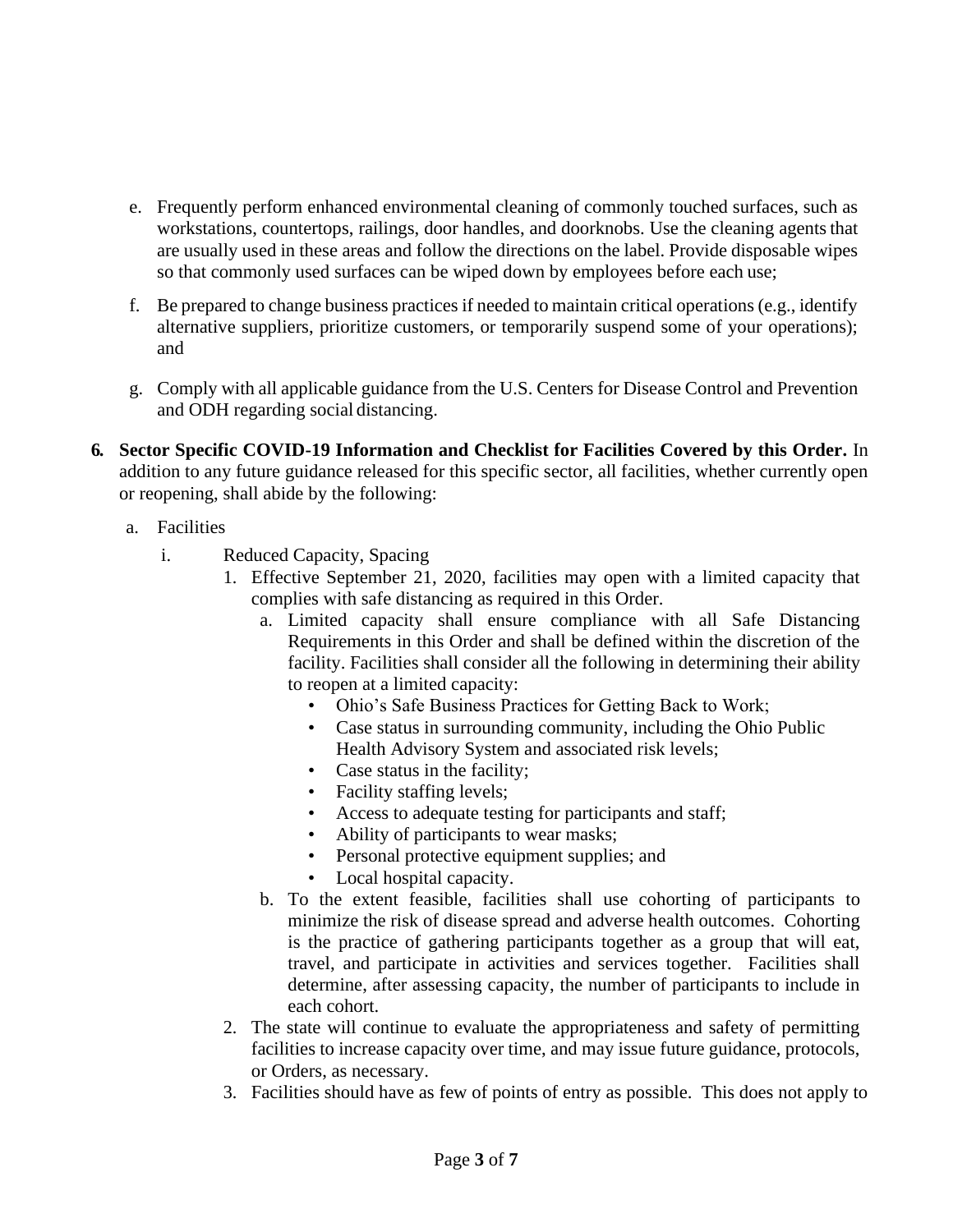- e. Frequently perform enhanced environmental cleaning of commonly touched surfaces, such as workstations, countertops, railings, door handles, and doorknobs. Use the cleaning agents that are usually used in these areas and follow the directions on the label. Provide disposable wipes so that commonly used surfaces can be wiped down by employees before each use;
- f. Be prepared to change business practices if needed to maintain critical operations (e.g., identify alternative suppliers, prioritize customers, or temporarily suspend some of your operations); and
- g. Comply with all applicable guidance from the U.S. Centers for Disease Control and Prevention and ODH regarding social distancing.
- **6. Sector Specific COVID-19 Information and Checklist for Facilities Covered by this Order.** In addition to any future guidance released for this specific sector, all facilities, whether currently open or reopening, shall abide by the following:
	- a. Facilities
		- i. Reduced Capacity, Spacing
			- 1. Effective September 21, 2020, facilities may open with a limited capacity that complies with safe distancing as required in this Order.
				- a. Limited capacity shall ensure compliance with all Safe Distancing Requirements in this Order and shall be defined within the discretion of the facility. Facilities shall consider all the following in determining their ability to reopen at a limited capacity:
					- Ohio's Safe Business Practices for Getting Back to Work;
					- Case status in surrounding community, including the Ohio Public Health Advisory System and associated risk levels;
					- Case status in the facility;
					- Facility staffing levels;
					- Access to adequate testing for participants and staff;
					- Ability of participants to wear masks;
					- Personal protective equipment supplies; and
					- Local hospital capacity.
				- b. To the extent feasible, facilities shall use cohorting of participants to minimize the risk of disease spread and adverse health outcomes. Cohorting is the practice of gathering participants together as a group that will eat, travel, and participate in activities and services together. Facilities shall determine, after assessing capacity, the number of participants to include in each cohort.
			- 2. The state will continue to evaluate the appropriateness and safety of permitting facilities to increase capacity over time, and may issue future guidance, protocols, or Orders, as necessary.
			- 3. Facilities should have as few of points of entry as possible. This does not apply to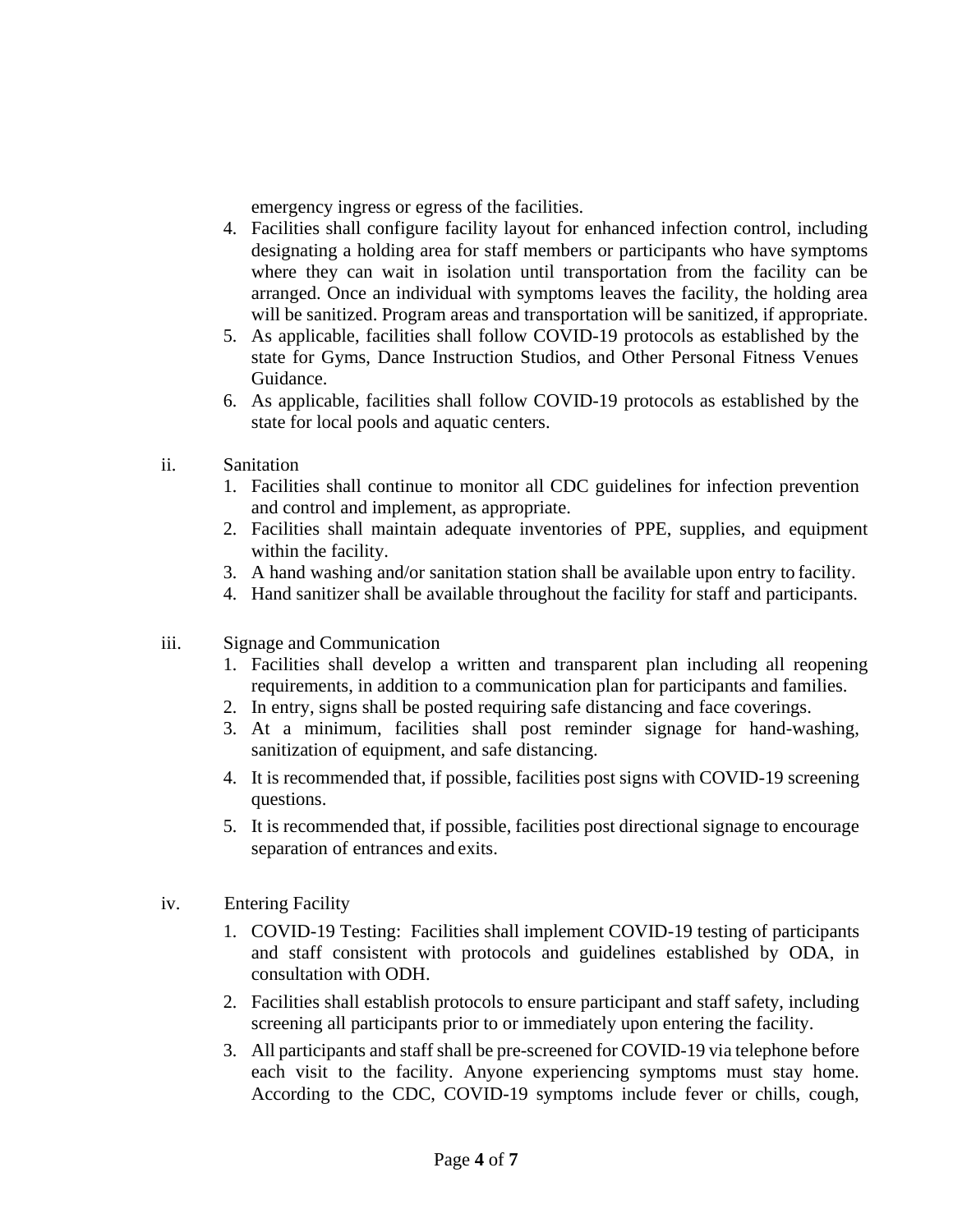emergency ingress or egress of the facilities.

- 4. Facilities shall configure facility layout for enhanced infection control, including designating a holding area for staff members or participants who have symptoms where they can wait in isolation until transportation from the facility can be arranged. Once an individual with symptoms leaves the facility, the holding area will be sanitized. Program areas and transportation will be sanitized, if appropriate.
- 5. As applicable, facilities shall follow COVID-19 protocols as established by the state for Gyms, Dance Instruction Studios, and Other Personal Fitness Venues Guidance.
- 6. As applicable, facilities shall follow COVID-19 protocols as established by the state for local pools and aquatic centers.
- ii. Sanitation
	- 1. Facilities shall continue to monitor all CDC guidelines for infection prevention and control and implement, as appropriate.
	- 2. Facilities shall maintain adequate inventories of PPE, supplies, and equipment within the facility.
	- 3. A hand washing and/or sanitation station shall be available upon entry to facility.
	- 4. Hand sanitizer shall be available throughout the facility for staff and participants.
- iii. Signage and Communication
	- 1. Facilities shall develop a written and transparent plan including all reopening requirements, in addition to a communication plan for participants and families.
	- 2. In entry, signs shall be posted requiring safe distancing and face coverings.
	- 3. At a minimum, facilities shall post reminder signage for hand-washing, sanitization of equipment, and safe distancing.
	- 4. It is recommended that, if possible, facilities post signs with COVID-19 screening questions.
	- 5. It is recommended that, if possible, facilities post directional signage to encourage separation of entrances and exits.
- iv. Entering Facility
	- 1. COVID-19 Testing: Facilities shall implement COVID-19 testing of participants and staff consistent with protocols and guidelines established by ODA, in consultation with ODH.
	- 2. Facilities shall establish protocols to ensure participant and staff safety, including screening all participants prior to or immediately upon entering the facility.
	- 3. All participants and staff shall be pre-screened for COVID-19 via telephone before each visit to the facility. Anyone experiencing symptoms must stay home. According to the CDC, COVID-19 symptoms include fever or chills, cough,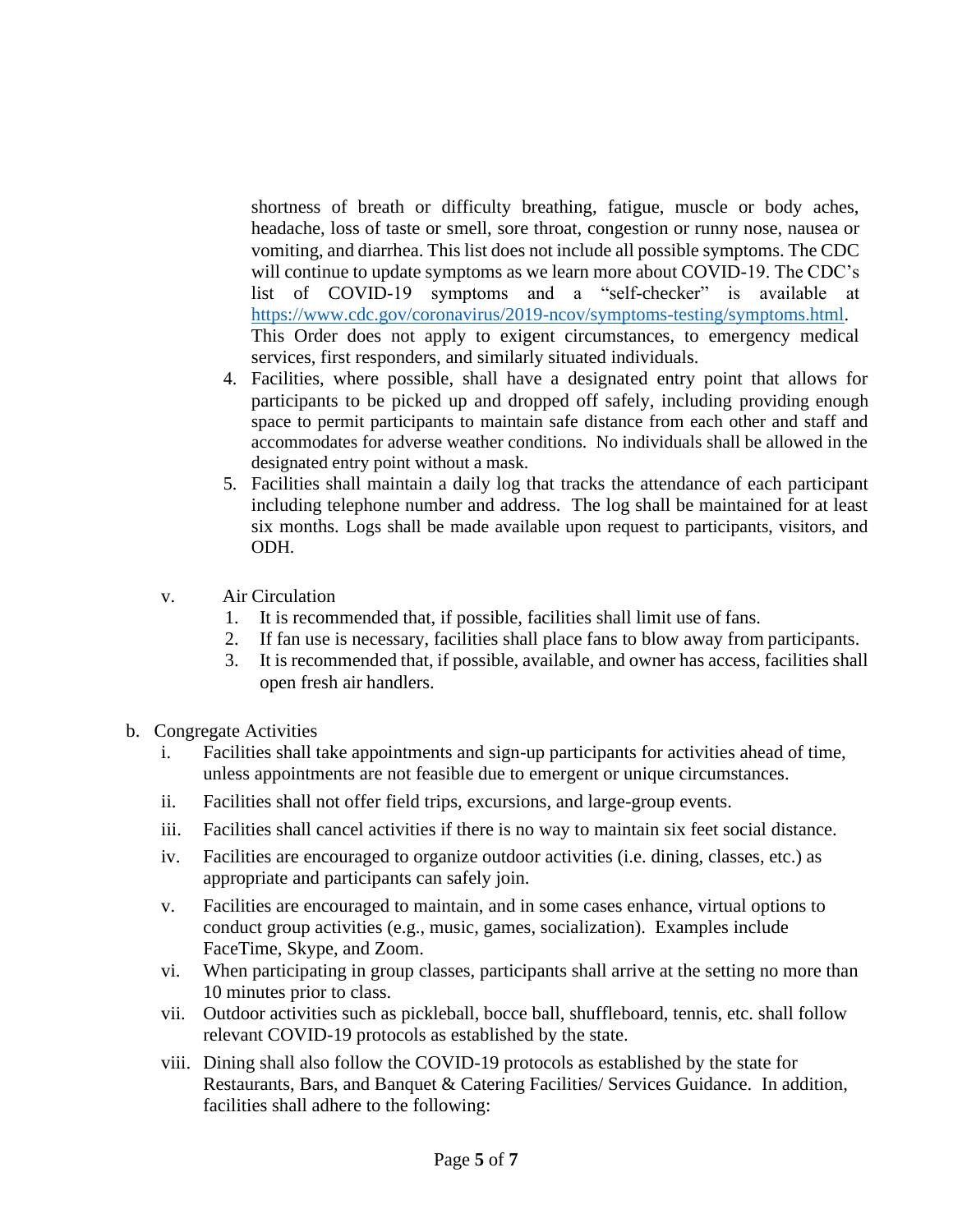shortness of breath or difficulty breathing, fatigue, muscle or body aches, headache, loss of taste or smell, sore throat, congestion or runny nose, nausea or vomiting, and diarrhea. This list does not include all possible symptoms. The CDC will continue to update symptoms as we learn more about COVID-19. The CDC's list of COVID-19 symptoms and a "self-checker" is available at [https://www.cdc.gov/coronavirus/2019-ncov/symptoms-testing/symptoms.html.](https://www.cdc.gov/coronavirus/2019-ncov/symptoms-testing/symptoms.html) This Order does not apply to exigent circumstances, to emergency medical services, first responders, and similarly situated individuals.

- 4. Facilities, where possible, shall have a designated entry point that allows for participants to be picked up and dropped off safely, including providing enough space to permit participants to maintain safe distance from each other and staff and accommodates for adverse weather conditions. No individuals shall be allowed in the designated entry point without a mask.
- 5. Facilities shall maintain a daily log that tracks the attendance of each participant including telephone number and address. The log shall be maintained for at least six months. Logs shall be made available upon request to participants, visitors, and ODH.
- v. Air Circulation
	- 1. It is recommended that, if possible, facilities shall limit use of fans.
	- 2. If fan use is necessary, facilities shall place fans to blow away from participants.
	- 3. It is recommended that, if possible, available, and owner has access, facilities shall open fresh air handlers.
- b. Congregate Activities
	- i. Facilities shall take appointments and sign-up participants for activities ahead of time, unless appointments are not feasible due to emergent or unique circumstances.
	- ii. Facilities shall not offer field trips, excursions, and large-group events.
	- iii. Facilities shall cancel activities if there is no way to maintain six feet social distance.
	- iv. Facilities are encouraged to organize outdoor activities (i.e. dining, classes, etc.) as appropriate and participants can safely join.
	- v. Facilities are encouraged to maintain, and in some cases enhance, virtual options to conduct group activities (e.g., music, games, socialization). Examples include FaceTime, Skype, and Zoom.
	- vi. When participating in group classes, participants shall arrive at the setting no more than 10 minutes prior to class.
	- vii. Outdoor activities such as pickleball, bocce ball, shuffleboard, tennis, etc. shall follow relevant COVID-19 protocols as established by the state.
	- viii. Dining shall also follow the COVID-19 protocols as established by the state for Restaurants, Bars, and Banquet & Catering Facilities/ Services Guidance. In addition, facilities shall adhere to the following: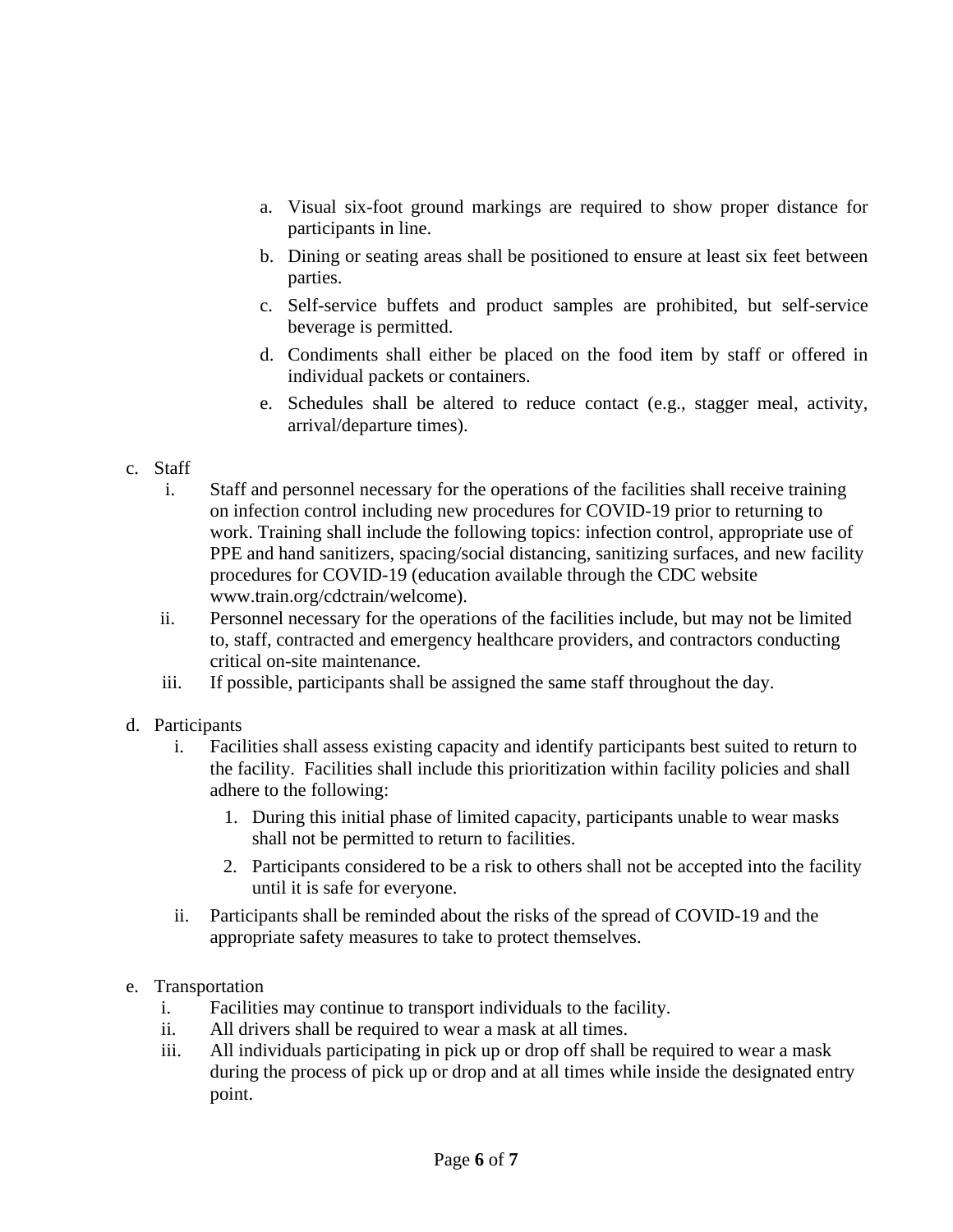- a. Visual six-foot ground markings are required to show proper distance for participants in line.
- b. Dining or seating areas shall be positioned to ensure at least six feet between parties.
- c. Self-service buffets and product samples are prohibited, but self-service beverage is permitted.
- d. Condiments shall either be placed on the food item by staff or offered in individual packets or containers.
- e. Schedules shall be altered to reduce contact (e.g., stagger meal, activity, arrival/departure times).

### c. Staff

- i. Staff and personnel necessary for the operations of the facilities shall receive training on infection control including new procedures for COVID-19 prior to returning to work. Training shall include the following topics: infection control, appropriate use of PPE and hand sanitizers, spacing/social distancing, sanitizing surfaces, and new facility procedures for COVID-19 (education available through the CDC website www.train.org/cdctrain/welcome).
- ii. Personnel necessary for the operations of the facilities include, but may not be limited to, staff, contracted and emergency healthcare providers, and contractors conducting critical on-site maintenance.
- iii. If possible, participants shall be assigned the same staff throughout the day.

# d. Participants

- i. Facilities shall assess existing capacity and identify participants best suited to return to the facility. Facilities shall include this prioritization within facility policies and shall adhere to the following:
	- 1. During this initial phase of limited capacity, participants unable to wear masks shall not be permitted to return to facilities.
	- 2. Participants considered to be a risk to others shall not be accepted into the facility until it is safe for everyone.
- ii. Participants shall be reminded about the risks of the spread of COVID-19 and the appropriate safety measures to take to protect themselves.

# e. Transportation

- i. Facilities may continue to transport individuals to the facility.
- ii. All drivers shall be required to wear a mask at all times.
- iii. All individuals participating in pick up or drop off shall be required to wear a mask during the process of pick up or drop and at all times while inside the designated entry point.